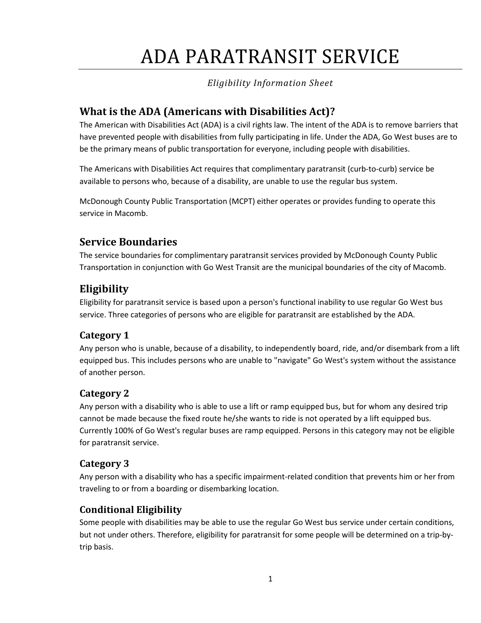# ADA PARATRANSIT SERVICE

## *Eligibility Information Sheet*

# **What is the ADA (Americans with Disabilities Act)?**

 The American with Disabilities Act (ADA) is a civil rights law. The intent of the ADA is to remove barriers that be the primary means of public transportation for everyone, including people with disabilities. have prevented people with disabilities from fully participating in life. Under the ADA, Go West buses are to

The Americans with Disabilities Act requires that complimentary paratransit (curb-to-curb) service be available to persons who, because of a disability, are unable to use the regular bus system.

 McDonough County Public Transportation (MCPT) either operates or provides funding to operate this service in Macomb.

# **Service Boundaries**

The service boundaries for complimentary paratransit services provided by McDonough County Public Transportation in conjunction with Go West Transit are the municipal boundaries of the city of Macomb.

# **Eligibility**

 Eligibility for paratransit service is based upon a person's functional inability to use regular Go West bus service. Three categories of persons who are eligible for paratransit are established by the ADA.

## **Category 1**

 Any person who is unable, because of a disability, to independently board, ride, and/or disembark from a lift equipped bus. This includes persons who are unable to "navigate" Go West's system without the assistance of another person.

## **Category 2**

 Currently 100% of Go West's regular buses are ramp equipped. Persons in this category may not be eligible Any person with a disability who is able to use a lift or ramp equipped bus, but for whom any desired trip cannot be made because the fixed route he/she wants to ride is not operated by a lift equipped bus. for paratransit service.

## **Category 3**

Any person with a disability who has a specific impairment-related condition that prevents him or her from traveling to or from a boarding or disembarking location.

## **Conditional Eligibility**

Some people with disabilities may be able to use the regular Go West bus service under certain conditions, but not under others. Therefore, eligibility for paratransit for some people will be determined on a trip-bytrip basis.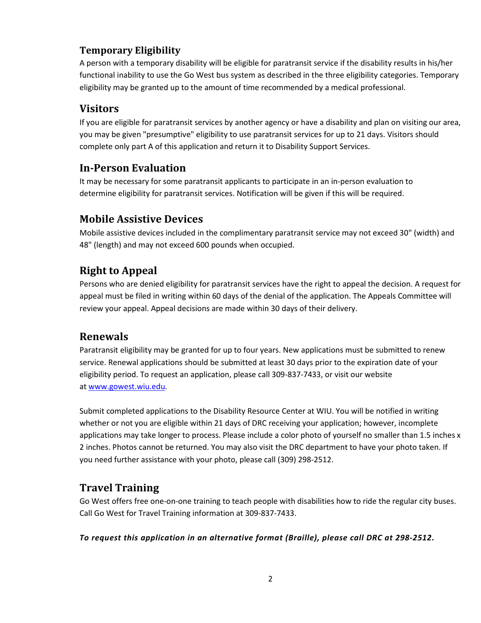## **Temporary Eligibility**

 eligibility may be granted up to the amount of time recommended by a medical professional. A person with a temporary disability will be eligible for paratransit service if the disability results in his/her functional inability to use the Go West bus system as described in the three eligibility categories. Temporary

## **Visitors**

 If you are eligible for paratransit services by another agency or have a disability and plan on visiting our area, you may be given "presumptive" eligibility to use paratransit services for up to 21 days. Visitors should complete only part A of this application and return it to Disability Support Services.

# **In-Person Evaluation**

It may be necessary for some paratransit applicants to participate in an in-person evaluation to determine eligibility for paratransit services. Notification will be given if this will be required.

## **Mobile Assistive Devices**

 Mobile assistive devices included in the complimentary paratransit service may not exceed 30" (width) and 48" (length) and may not exceed 600 pounds when occupied.

## **Right to Appeal**

 Persons who are denied eligibility for paratransit services have the right to appeal the decision. A request for appeal must be filed in writing within 60 days of the denial of the application. The Appeals Committee will review your appeal. Appeal decisions are made within 30 days of their delivery.

## **Renewals**

 Paratransit eligibility may be granted for up to four years. New applications must be submitted to renew service. Renewal applications should be submitted at least 30 days prior to the expiration date of your eligibility period. To request an application, please call 309-837-7433, or visit our website a[t www.gowest.wiu.edu.](http://www.gowest.wiu.edu/)

 whether or not you are eligible within 21 days of DRC receiving your application; however, incomplete applications may take longer to process. Please include a color photo of yourself no smaller than 1.5 inches x Submit completed applications to the Disability Resource Center at WIU. You will be notified in writing 2 inches. Photos cannot be returned. You may also visit the DRC department to have your photo taken. If you need further assistance with your photo, please call (309) 298-2512.

# **Travel Training**

 Go West offers free one-on-one training to teach people with disabilities how to ride the regular city buses. Call Go West for Travel Training information at 309-837-7433.

*To request this application in an alternative format (Braille), please call DRC at 298-2512.*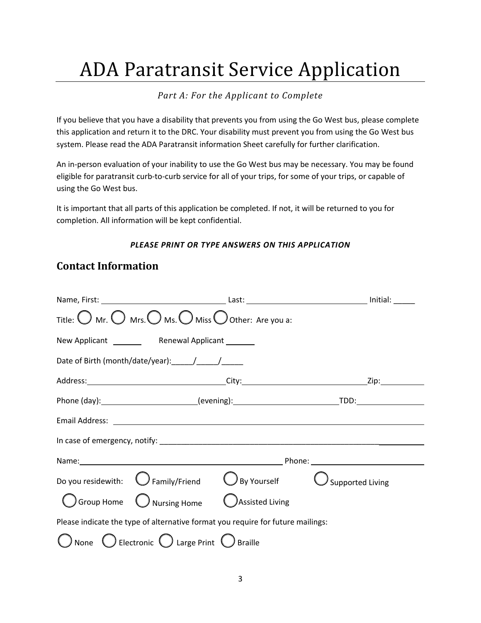# ADA Paratransit Service Application

## *Part A: For the Applicant to Complete*

 If you believe that you have a disability that prevents you from using the Go West bus, please complete this application and return it to the DRC. Your disability must prevent you from using the Go West bus system. Please read the ADA Paratransit information Sheet carefully for further clarification.

 An in-person evaluation of your inability to use the Go West bus may be necessary. You may be found eligible for paratransit curb-to-curb service for all of your trips, for some of your trips, or capable of using the Go West bus.

 completion. All information will be kept confidential. It is important that all parts of this application be completed. If not, it will be returned to you for

## *PLEASE PRINT OR TYPE ANSWERS ON THIS APPLICATION*

# **Contact Information**

| Title: $\bigcirc$ Mr. $\bigcirc$ Mrs. $\bigcirc$ Ms. $\bigcirc$ Miss $\bigcirc$ Other: Are you a: |                                              |                 |                             |  |
|---------------------------------------------------------------------------------------------------|----------------------------------------------|-----------------|-----------------------------|--|
|                                                                                                   |                                              |                 |                             |  |
|                                                                                                   |                                              |                 |                             |  |
|                                                                                                   |                                              |                 |                             |  |
|                                                                                                   |                                              |                 |                             |  |
|                                                                                                   |                                              |                 |                             |  |
|                                                                                                   |                                              |                 |                             |  |
|                                                                                                   |                                              |                 |                             |  |
| Do you residewith: $\bigcirc$ Family/Friend $\bigcirc$ By Yourself                                |                                              |                 | $\bigcirc$ Supported Living |  |
|                                                                                                   | $\bigcup$ Group Home $\bigcirc$ Nursing Home | Assisted Living |                             |  |
| Please indicate the type of alternative format you require for future mailings:                   |                                              |                 |                             |  |
| None $\bigcirc$ Electronic $\bigcirc$ Large Print $\bigcirc$ Braille                              |                                              |                 |                             |  |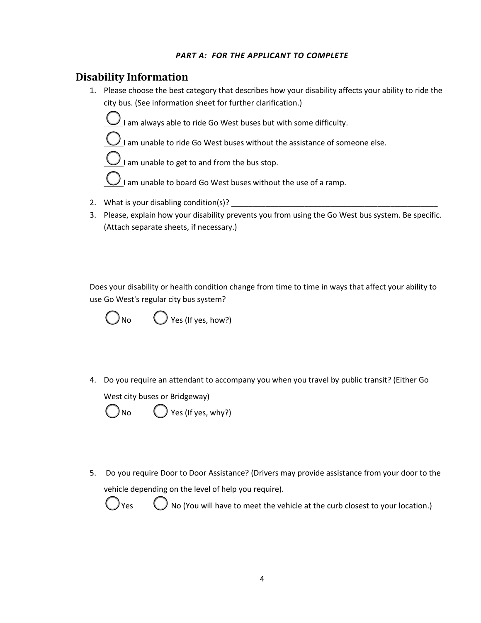## *PART A: FOR THE APPLICANT TO COMPLETE*

## **Disability Information**

1. Please choose the best category that describes how your disability affects your ability to ride the city bus. (See information sheet for further clarification.)



I am unable to ride Go West buses without the assistance of someone else.

to and from the bus stop.

West buses without the use of a ramp. I am unable to get to and from the bus stop.I am unable to board Go West buses without the use of a ramp.2.What is your disabling condition(s)? \_\_\_\_\_\_\_\_\_\_\_\_\_\_\_\_\_\_\_\_\_\_\_\_\_\_\_\_\_\_\_\_\_\_\_\_\_\_\_\_\_\_\_\_\_\_\_\_

- 2. What is your disabling condition(s)?
- 3. Please, explain how your disability prevents you from using the Go West bus system. Be specific. (Attach separate sheets, if necessary.)

 Does your disability or health condition change from time to time in ways that affect your ability to use Go West's regular city bus system?



4. Do you require an attendant to accompany you when you travel by public transit? (Either Go West city buses or Bridgeway)<br>  $\bigcirc$  No  $\bigcirc$  Yes (If yes, why?)

∖ **No** 

5. Do you require Door to Door Assistance? (Drivers may provide assistance from your door to the vehicle depending on the level of help you require).



 $)$  No (You will have to meet the vehicle at the curb closest to your location.)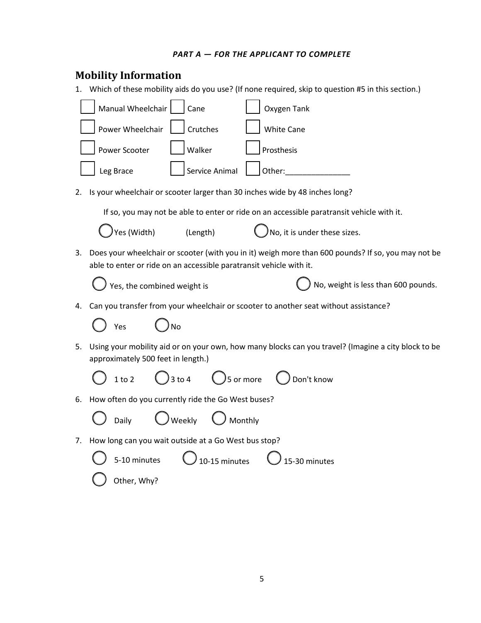### *PART A — FOR THE APPLICANT TO COMPLETE*

| <b>Mobility Information</b>                                                                                                                                                     |  |  |  |
|---------------------------------------------------------------------------------------------------------------------------------------------------------------------------------|--|--|--|
| 1. Which of these mobility aids do you use? (If none required, skip to question #5 in this section.)                                                                            |  |  |  |
| Manual Wheelchair<br>Oxygen Tank<br>Cane                                                                                                                                        |  |  |  |
| Crutches<br>Power Wheelchair<br><b>White Cane</b>                                                                                                                               |  |  |  |
| Walker<br>Prosthesis<br>Power Scooter                                                                                                                                           |  |  |  |
| Service Animal<br>Leg Brace<br>Other:                                                                                                                                           |  |  |  |
| Is your wheelchair or scooter larger than 30 inches wide by 48 inches long?<br>2.                                                                                               |  |  |  |
| If so, you may not be able to enter or ride on an accessible paratransit vehicle with it.                                                                                       |  |  |  |
| Yes (Width)<br>No, it is under these sizes.<br>(Length)                                                                                                                         |  |  |  |
| Does your wheelchair or scooter (with you in it) weigh more than 600 pounds? If so, you may not be<br>3.<br>able to enter or ride on an accessible paratransit vehicle with it. |  |  |  |
| No, weight is less than 600 pounds.<br>Yes, the combined weight is                                                                                                              |  |  |  |
| Can you transfer from your wheelchair or scooter to another seat without assistance?<br>4.                                                                                      |  |  |  |
| Yes                                                                                                                                                                             |  |  |  |
| Using your mobility aid or on your own, how many blocks can you travel? (Imagine a city block to be<br>5.<br>approximately 500 feet in length.)                                 |  |  |  |
| $\bigcirc$ ) 3 to 4<br>$\bigcirc$ 5 or more<br>1 to 2<br>$\bigcup$ Don't know                                                                                                   |  |  |  |
| How often do you currently ride the Go West buses?<br>6.                                                                                                                        |  |  |  |
| ) Weekly<br>Monthly<br>Daily                                                                                                                                                    |  |  |  |
| How long can you wait outside at a Go West bus stop?<br>7.                                                                                                                      |  |  |  |
| 5-10 minutes<br>10-15 minutes<br>15-30 minutes                                                                                                                                  |  |  |  |
| Other, Why?                                                                                                                                                                     |  |  |  |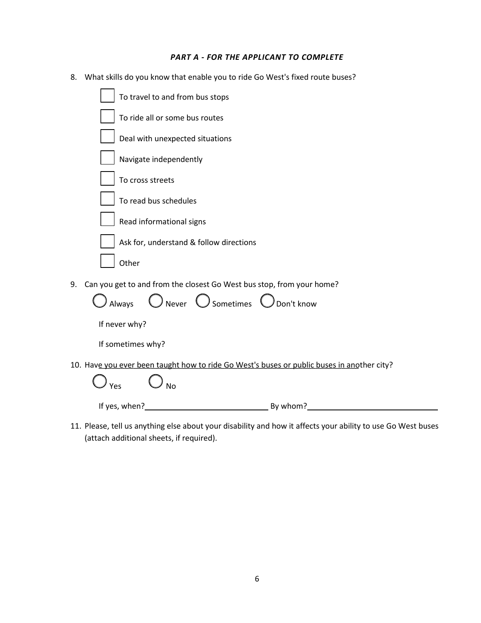#### *PART A - FOR THE APPLICANT TO COMPLETE*

8. What skills do you know that enable you to ride Go West's fixed route buses?

| To travel to and from bus stops                                                            |
|--------------------------------------------------------------------------------------------|
| To ride all or some bus routes                                                             |
| Deal with unexpected situations                                                            |
| Navigate independently                                                                     |
| To cross streets                                                                           |
| To read bus schedules                                                                      |
| Read informational signs                                                                   |
| Ask for, understand & follow directions                                                    |
| Other                                                                                      |
| Can you get to and from the closest Go West bus stop, from your home?<br>9.                |
| $\bigcirc$ Never $\bigcirc$ Sometimes $\bigcirc$ Don't know<br>Always                      |
| If never why?                                                                              |
| If sometimes why?                                                                          |
| 10. Have you ever been taught how to ride Go West's buses or public buses in another city? |
| N <sub>o</sub><br>Yes                                                                      |
| If yes, when?                                                                              |

11. Please, tell us anything else about your disability and how it affects your ability to use Go West buses (attach additional sheets, if required).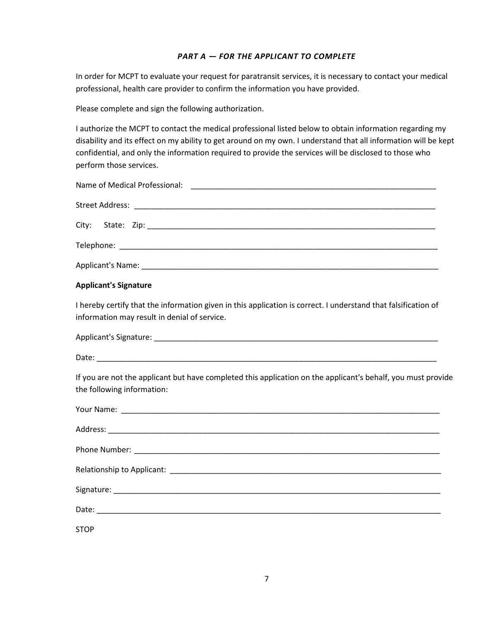### *PART A — FOR THE APPLICANT TO COMPLETE*

 In order for MCPT to evaluate your request for paratransit services, it is necessary to contact your medical professional, health care provider to confirm the information you have provided.

Please complete and sign the following authorization.

 I authorize the MCPT to contact the medical professional listed below to obtain information regarding my disability and its effect on my ability to get around on my own. I understand that all information will be kept confidential, and only the information required to provide the services will be disclosed to those who perform those services.

### **Applicant's Signature**

information may result in denial of service. I hereby certify that the information given in this application is correct. I understand that falsification of

| information may result in denial of service. |
|----------------------------------------------|
| Applicant's Signature:                       |
| Date:                                        |

are not the applicant but have completed this application on the applicant's behalf, you must provide the following information:

| If you are not the applicant but have completed this application on the applicant's behalf, you must provide |
|--------------------------------------------------------------------------------------------------------------|
| the following information:                                                                                   |
|                                                                                                              |
|                                                                                                              |
|                                                                                                              |
|                                                                                                              |
|                                                                                                              |
|                                                                                                              |
| <b>STOP</b>                                                                                                  |
|                                                                                                              |
|                                                                                                              |
|                                                                                                              |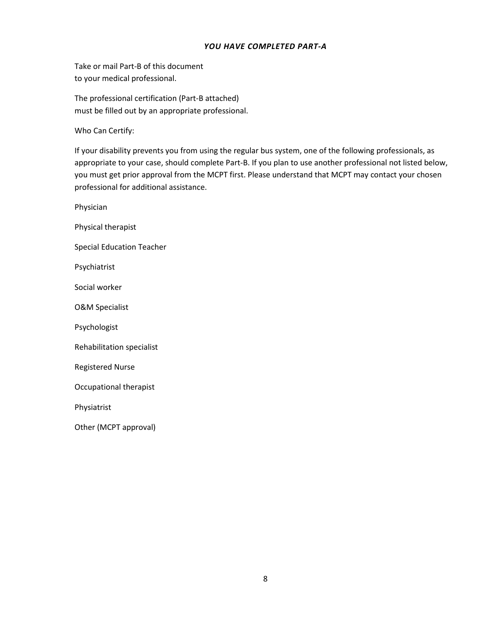### *YOU HAVE COMPLETED PART-A*

document to your medical professional.

The professional certification (Part-B attached) must be filled out by an appropriate professional.

Who Can Certify:

one of the following professionals, as appropriate to your case, should complete Part-B. If you plan to use another professional not listed below, you must get prior approval from the MCPT first. Please understand that MCPT may contact your chosen professional for additional assistance.

therapist Physician Physical therapist **Special Education Teacher** Psychiatrist Social worker **O&M Specialist** Psychologist Rehabilitation specialist **Registered Nurse** Physiatrist Other (MCPT approval) Take or mail line is of this document<br>Take or mail line is of this document<br>The professional certification (Part-B attached)<br>must be littled out by an oppropriate professional.<br>Who can Certify:<br>By our disability prevents y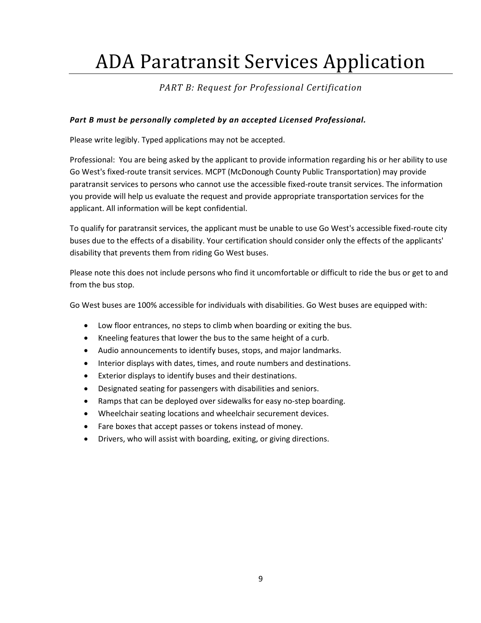# ADA Paratransit Services Application

## *PART B: Request for Professional Certification*

## *Part B must be personally completed by an accepted Licensed Professional.*

Please write legibly. Typed applications may not be accepted.

 Professional: You are being asked by the applicant to provide information regarding his or her ability to use paratransit services to persons who cannot use the accessible fixed-route transit services. The information Go West's fixed-route transit services. MCPT (McDonough County Public Transportation) may provide you provide will help us evaluate the request and provide appropriate transportation services for the applicant. All information will be kept confidential.

 To qualify for paratransit services, the applicant must be unable to use Go West's accessible fixed-route city buses due to the effects of a disability. Your certification should consider only the effects of the applicants' disability that prevents them from riding Go West buses.

 Please note this does not include persons who find it uncomfortable or difficult to ride the bus or get to and from the bus stop.

Go West buses are 100% accessible for individuals with disabilities. Go West buses are equipped with:

- Low floor entrances, no steps to climb when boarding or exiting the bus.
- Kneeling features that lower the bus to the same height of a curb.
- Audio announcements to identify buses, stops, and major landmarks.
- Interior displays with dates, times, and route numbers and destinations.
- Exterior displays to identify buses and their destinations.
- Designated seating for passengers with disabilities and seniors.
- Ramps that can be deployed over sidewalks for easy no-step boarding.
- Wheelchair seating locations and wheelchair securement devices.
- Fare boxes that accept passes or tokens instead of money.
- Drivers, who will assist with boarding, exiting, or giving directions.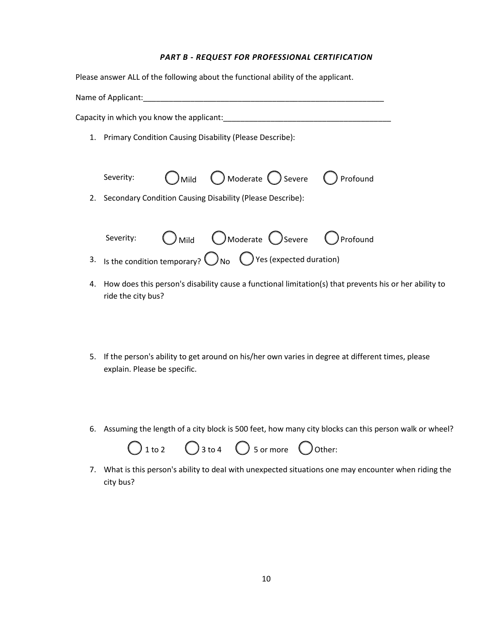#### *PART B - REQUEST FOR PROFESSIONAL CERTIFICATION*

| Please answer ALL of the following about the functional ability of the applicant.          |
|--------------------------------------------------------------------------------------------|
| Name of Applicant: Name of Applicant:                                                      |
|                                                                                            |
| 1. Primary Condition Causing Disability (Please Describe):                                 |
|                                                                                            |
| $\bigcirc$ Mild $\bigcirc$ Moderate $\bigcirc$ Severe $\bigcirc$ Profound<br>Severity:     |
| Secondary Condition Causing Disability (Please Describe):<br>2.                            |
|                                                                                            |
| O Mild O Moderate O Severe O Profound<br>Severity:                                         |
| 3. Is the condition temporary? $\bigcirc$ No $\bigcirc$ Yes (expected duration)            |
| 4. How does this person's disability cause a functional limitation(s) that prevents his or |

ride the city bus?

5. If the person's ability to get around on his/her own varies in degree at different times, please explain. Please be specific. 5. If the person's ability to get around on his/her own varies in degree at different times, please<br>explain. Please be specific.<br>6. Assuming the length of a city block is 500 feet, how many city blocks can this person walk

her ability to



7. What is this person's ability to deaI with unexpected situations one may encounter when riding the city bus?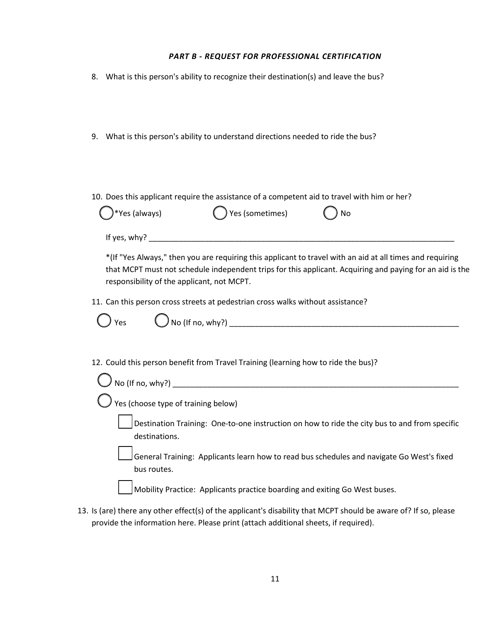#### *PART B - REQUEST FOR PROFESSIONAL CERTIFICATION*

- 8. What is this person's ability to recognize their destination(s) and leave the bus?
- 9. What is this person's ability to understand directions needed to ride the bus?
- 

| 10. Does this applicant require the assistance of a competent aid to travel with him or her? |                   |         |  |
|----------------------------------------------------------------------------------------------|-------------------|---------|--|
| $\bigcirc^*$ Yes (always)                                                                    | ◯ Yes (sometimes) | $()$ No |  |

 \*(If "Yes Always," then you are requiring this applicant to travel with an aid at all times and requiring that MCPT must not schedule independent trips for this applicant. Acquiring and paying for an aid is the responsibility of the applicant, not MCPT.

11. Can this person cross streets at pedestrian cross walks without assistance?

If yes, why?  $\Box$ 

Yes YesNo (If no, why?) \_\_\_\_\_\_\_\_\_\_\_\_\_\_\_\_\_\_\_\_\_\_\_\_\_\_\_\_\_\_\_\_\_\_\_\_\_\_\_\_\_\_\_\_\_\_\_\_\_\_\_\_\_

12. Could this person benefit from Travel Training (learning how to ride the bus)?

| No (If no, why?)                                                                                               |
|----------------------------------------------------------------------------------------------------------------|
| $\big)$ Yes (choose type of training below)                                                                    |
| Destination Training: One-to-one instruction on how to ride the city bus to and from specific<br>destinations. |
| General Training: Applicants learn how to read bus schedules and navigate Go West's fixed<br>bus routes.       |
| Mobility Practice: Applicants practice boarding and exiting Go West buses.                                     |

13. Is (are) there any other effect(s) of the applicant's disability that MCPT should be aware of? If so, please provide the information here. Please print (attach additional sheets, if required).